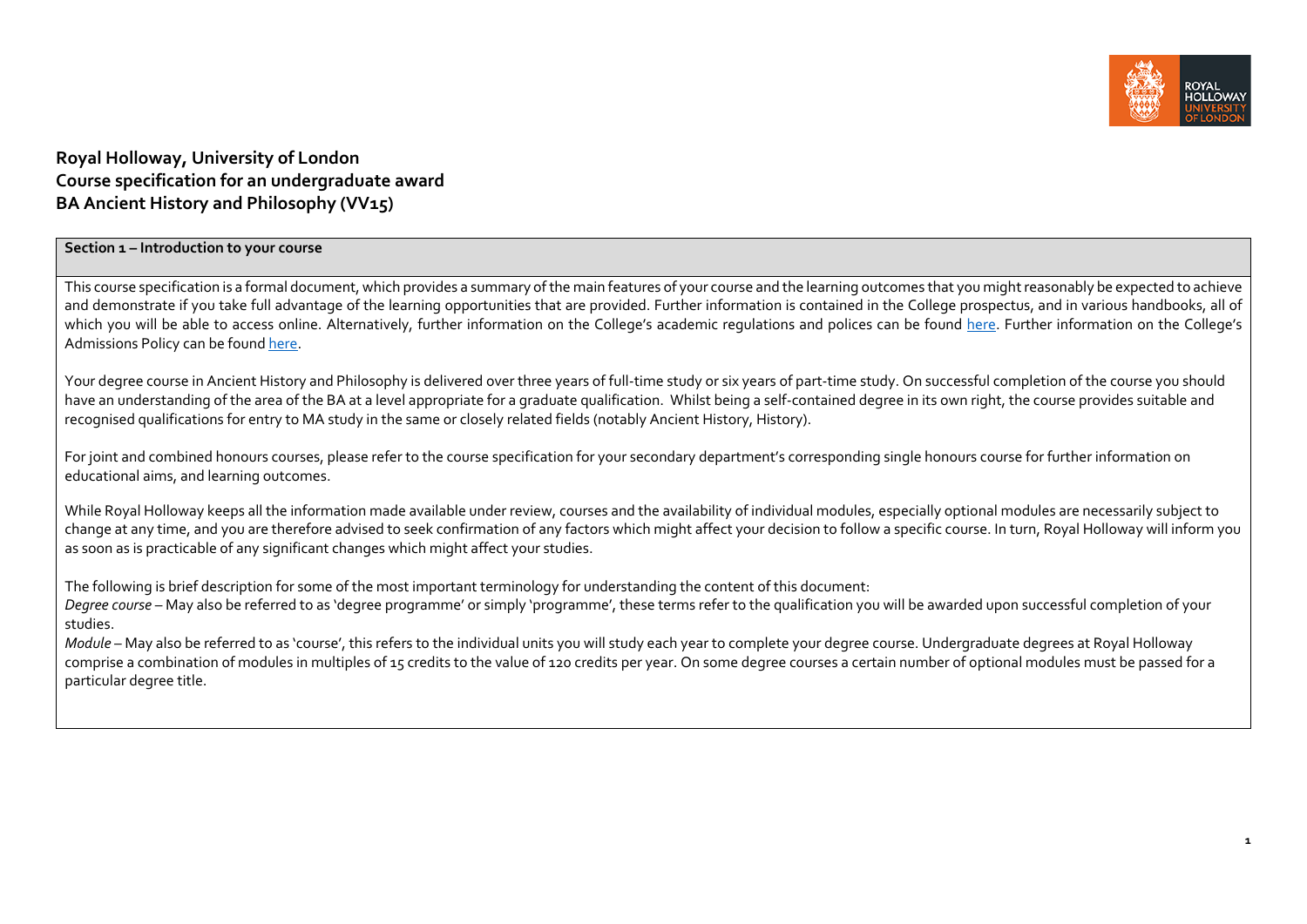

# **Royal Holloway, University of London Course specification for an undergraduate award BA Ancient History and Philosophy (VV15)**

### **Section 1 – Introduction to your course**

This course specification is a formal document, which provides a summary of the main features of your course and the learning outcomes that you might reasonably be expected to achieve and demonstrate if you take full advantage of the learning opportunities that are provided. Further information is contained in the College prospectus, and in various handbooks, all of which you will be able to access online. Alternatively, further information on the College's academic regulations and polices can be found [here.](https://intranet.royalholloway.ac.uk/staff/teaching/aqpo/academic-regulations-and-policies/academic-regulations-and-policies.aspx) Further information on the College's Admissions Policy can be foun[d here.](https://www.royalholloway.ac.uk/studying-here/applying/admissions-policy-and-procedures/)

Your degree course in Ancient History and Philosophy is delivered over three years of full-time study or six years of part-time study. On successful completion of the course you should have an understanding of the area of the BA at a level appropriate for a graduate qualification. Whilst being a self-contained degree in its own right, the course provides suitable and recognised qualifications for entry to MA study in the same or closely related fields (notably Ancient History, History).

For joint and combined honours courses, please refer to the course specification for your secondary department's corresponding single honours course for further information on educational aims, and learning outcomes.

While Royal Holloway keeps all the information made available under review, courses and the availability of individual modules, especially optional modules are necessarily subject to change at any time, and you are therefore advised to seek confirmation of any factors which might affect your decision to follow a specific course. In turn, Royal Holloway will inform you as soon as is practicable of any significant changes which might affect your studies.

The following is brief description for some of the most important terminology for understanding the content of this document:

*Degree course* – May also be referred to as 'degree programme' or simply 'programme', these terms refer to the qualification you will be awarded upon successful completion of your studies.

*Module* – May also be referred to as 'course', this refers to the individual units you will study each year to complete your degree course. Undergraduate degrees at Royal Holloway comprise a combination of modules in multiples of 15 credits to the value of 120 credits per year. On some degree courses a certain number of optional modules must be passed for a particular degree title.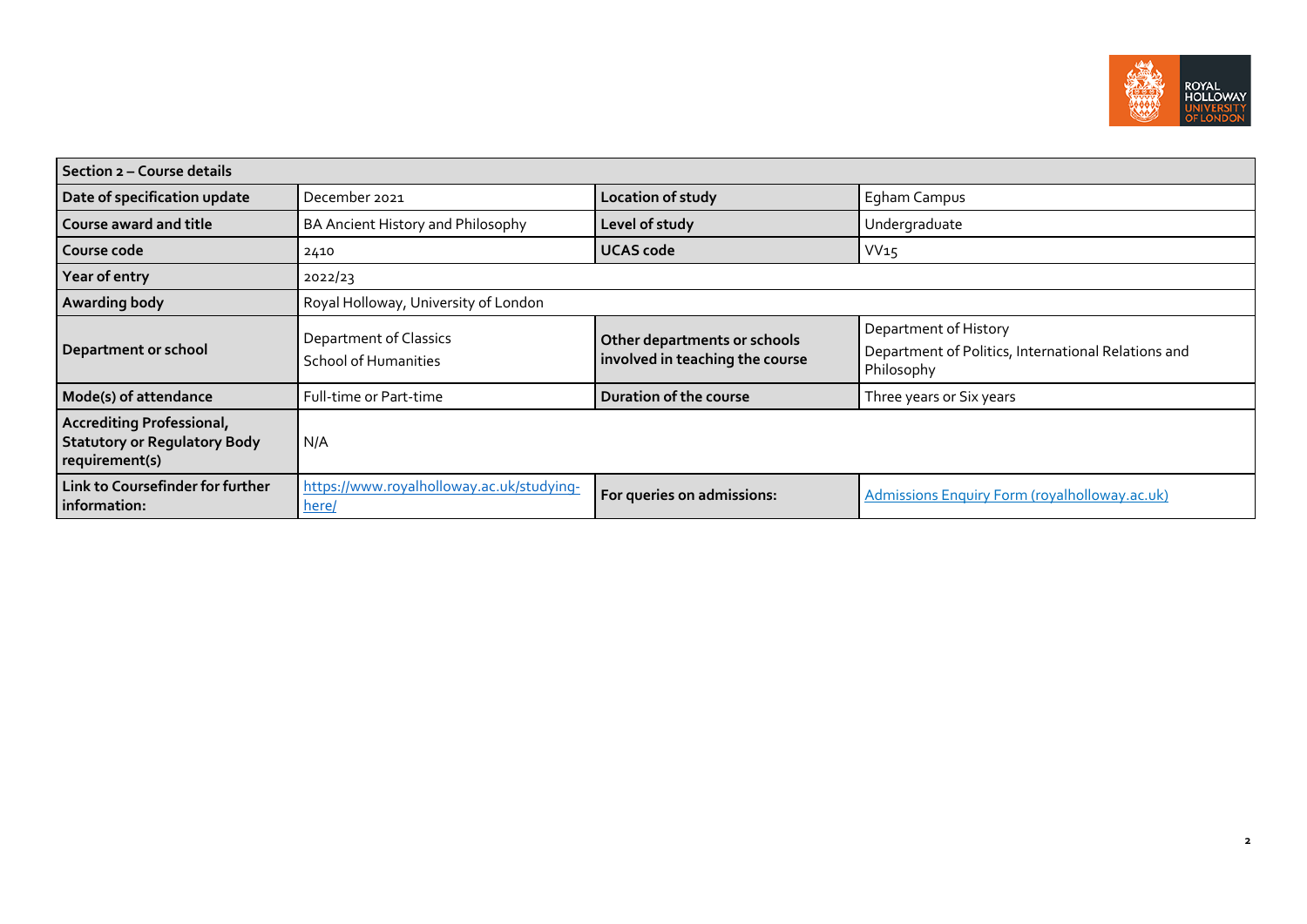

| Section 2 - Course details                                                                |                                                       |                                                                 |                                                                                            |  |  |
|-------------------------------------------------------------------------------------------|-------------------------------------------------------|-----------------------------------------------------------------|--------------------------------------------------------------------------------------------|--|--|
| Date of specification update                                                              | December 2021                                         | Location of study                                               | Egham Campus                                                                               |  |  |
| Course award and title                                                                    | BA Ancient History and Philosophy                     | Level of study                                                  | Undergraduate                                                                              |  |  |
| Course code                                                                               | 2410                                                  | <b>UCAS code</b>                                                | VV15                                                                                       |  |  |
| Year of entry                                                                             | 2022/23                                               |                                                                 |                                                                                            |  |  |
| Awarding body                                                                             | Royal Holloway, University of London                  |                                                                 |                                                                                            |  |  |
| <b>Department or school</b>                                                               | Department of Classics<br><b>School of Humanities</b> | Other departments or schools<br>involved in teaching the course | Department of History<br>Department of Politics, International Relations and<br>Philosophy |  |  |
| Mode(s) of attendance                                                                     | Full-time or Part-time                                | Duration of the course                                          | Three years or Six years                                                                   |  |  |
| <b>Accrediting Professional,</b><br><b>Statutory or Regulatory Body</b><br>requirement(s) | N/A                                                   |                                                                 |                                                                                            |  |  |
| Link to Coursefinder for further<br>information:                                          | https://www.royalholloway.ac.uk/studying-<br>here/    | For queries on admissions:                                      | <b>Admissions Enquiry Form (royalholloway.ac.uk)</b>                                       |  |  |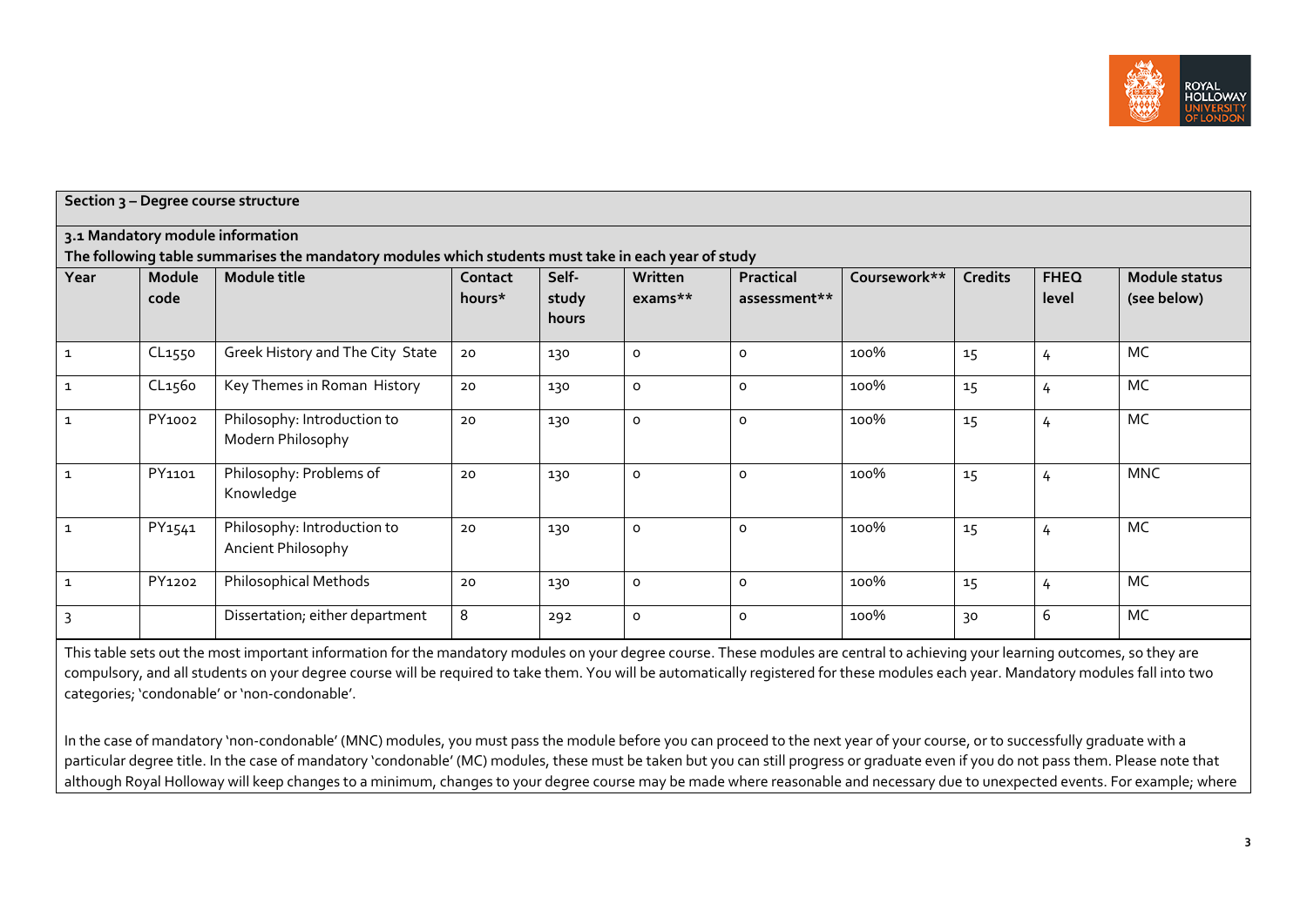

|                | Section 3 - Degree course structure |                                                                                                     |                   |                         |                     |                           |              |                |                      |                              |
|----------------|-------------------------------------|-----------------------------------------------------------------------------------------------------|-------------------|-------------------------|---------------------|---------------------------|--------------|----------------|----------------------|------------------------------|
|                |                                     | 3.1 Mandatory module information                                                                    |                   |                         |                     |                           |              |                |                      |                              |
|                |                                     | The following table summarises the mandatory modules which students must take in each year of study |                   |                         |                     |                           |              |                |                      |                              |
| Year           | Module<br>code                      | Module title                                                                                        | Contact<br>hours* | Self-<br>study<br>hours | Written<br>exams**  | Practical<br>assessment** | Coursework** | <b>Credits</b> | <b>FHEQ</b><br>level | Module status<br>(see below) |
| $\mathbf{1}$   | CL1550                              | Greek History and The City State                                                                    | 20                | 130                     | $\mathsf{o}\,$      | $\mathsf{o}\,$            | 100%         | 15             | 4                    | <b>MC</b>                    |
| $\mathbf{1}$   | CL <sub>1560</sub>                  | Key Themes in Roman History                                                                         | 20                | 130                     | $\mathsf{o}$        | $\mathsf{o}$              | 100%         | 15             | 4                    | MC                           |
| $\mathbf{1}$   | PY1002                              | Philosophy: Introduction to<br>Modern Philosophy                                                    | 20                | 130                     | $\mathsf{o}\,$      | $\mathsf{o}$              | 100%         | 15             | 4                    | <b>MC</b>                    |
| $\mathbf{1}$   | PY1101                              | Philosophy: Problems of<br>Knowledge                                                                | 20                | 130                     | $\mathsf{o}\xspace$ | $\circ$                   | 100%         | 15             | 4                    | <b>MNC</b>                   |
| $\mathbf{1}$   | PY1541                              | Philosophy: Introduction to<br>Ancient Philosophy                                                   | 20                | 130                     | $\mathsf{o}\xspace$ | $\mathsf{o}$              | 100%         | 15             | 4                    | MC                           |
| $\mathbf{1}$   | PY1202                              | Philosophical Methods                                                                               | 20                | 130                     | $\circ$             | $\circ$                   | 100%         | 15             | 4                    | MC                           |
| $\overline{3}$ |                                     | Dissertation; either department                                                                     | 8                 | 292                     | $\circ$             | 0                         | 100%         | 30             | 6                    | MC                           |

This table sets out the most important information for the mandatory modules on your degree course. These modules are central to achieving your learning outcomes, so they are compulsory, and all students on your degree course will be required to take them. You will be automatically registered for these modules each year. Mandatory modules fall into two categories; 'condonable' or 'non-condonable'.

In the case of mandatory 'non-condonable' (MNC) modules, you must pass the module before you can proceed to the next year of your course, or to successfully graduate with a particular degree title. In the case of mandatory 'condonable' (MC) modules, these must be taken but you can still progress or graduate even if you do not pass them. Please note that although Royal Holloway will keep changes to a minimum, changes to your degree course may be made where reasonable and necessary due to unexpected events. For example, where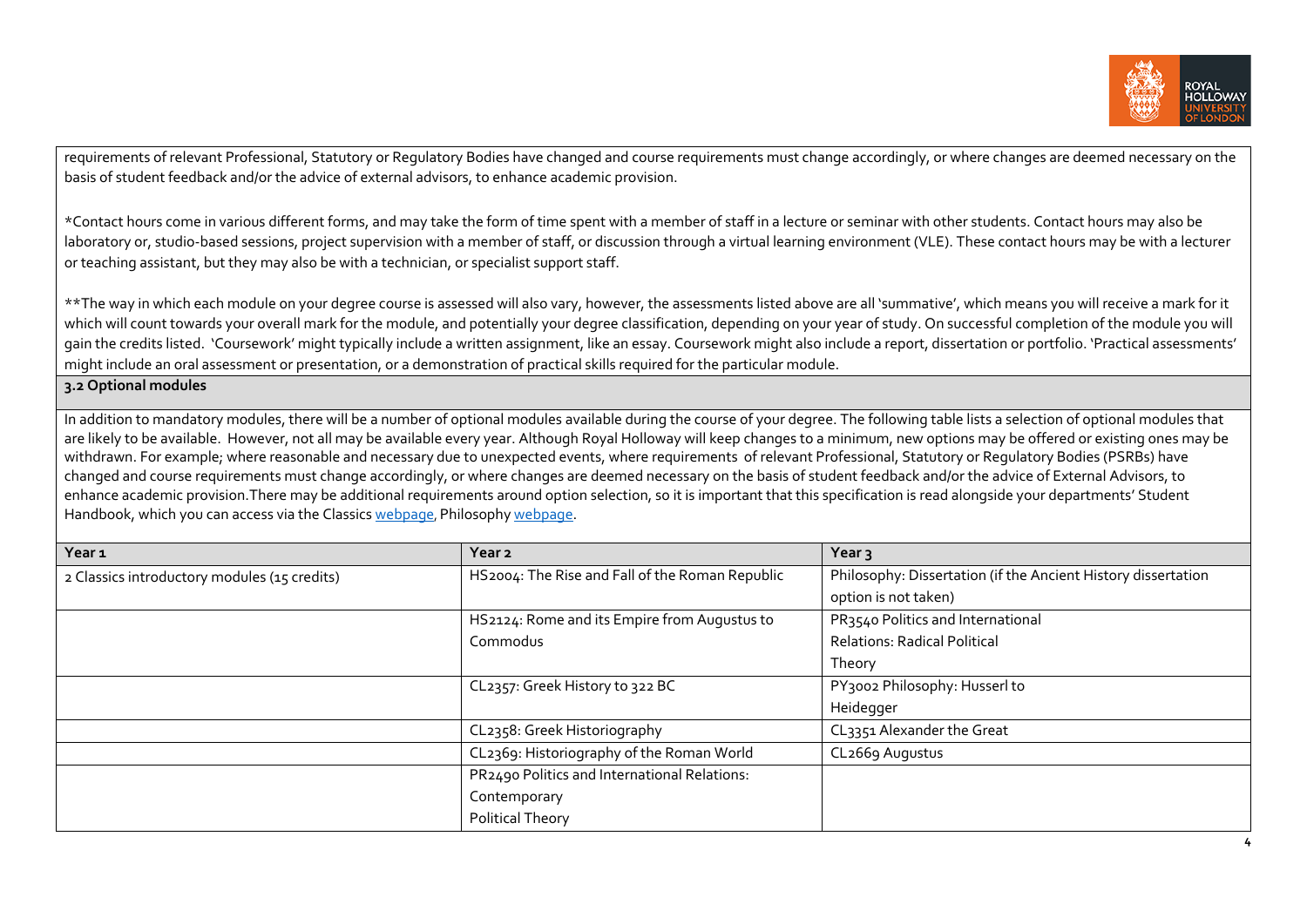

requirements of relevant Professional, Statutory or Regulatory Bodies have changed and course requirements must change accordingly, or where changes are deemed necessary on the basis of student feedback and/or the advice of external advisors, to enhance academic provision.

\*Contact hours come in various different forms, and may take the form of time spent with a member of staff in a lecture or seminar with other students. Contact hours may also be laboratory or, studio-based sessions, project supervision with a member of staff, or discussion through a virtual learning environment (VLE). These contact hours may be with a lecturer or teaching assistant, but they may also be with a technician, or specialist support staff.

\*\*The way in which each module on your degree course is assessed will also vary, however, the assessments listed above are all 'summative', which means you will receive a mark for it which will count towards your overall mark for the module, and potentially your degree classification, depending on your year of study. On successful completion of the module you will gain the credits listed. 'Coursework' might typically include a written assignment, like an essay. Coursework might also include a report, dissertation or portfolio. 'Practical assessments' might include an oral assessment or presentation, or a demonstration of practical skills required for the particular module.

### **3.2 Optional modules**

In addition to mandatory modules, there will be a number of optional modules available during the course of your degree. The following table lists a selection of optional modules that are likely to be available. However, not all may be available every year. Although Royal Holloway will keep changes to a minimum, new options may be offered or existing ones may be withdrawn. For example; where reasonable and necessary due to unexpected events, where requirements of relevant Professional, Statutory or Regulatory Bodies (PSRBs) have changed and course requirements must change accordingly, or where changes are deemed necessary on the basis of student feedback and/or the advice of External Advisors, to enhance academic provision.There may be additional requirements around option selection, so it is important that this specification is read alongside your departments' Student Handbook, which you can access via the Classics [webpage,](https://www.royalholloway.ac.uk/research-and-teaching/departments-and-schools/classics/) Philosoph[y webpage.](https://www.royalholloway.ac.uk/research-and-teaching/departments-and-schools/philosophy/)

| Year <sub>1</sub>                            | Year <sub>2</sub>                               | Year <sub>3</sub>                                             |
|----------------------------------------------|-------------------------------------------------|---------------------------------------------------------------|
| 2 Classics introductory modules (15 credits) | HS2004: The Rise and Fall of the Roman Republic | Philosophy: Dissertation (if the Ancient History dissertation |
|                                              |                                                 | option is not taken)                                          |
|                                              | HS2124: Rome and its Empire from Augustus to    | PR3540 Politics and International                             |
|                                              | Commodus                                        | <b>Relations: Radical Political</b>                           |
|                                              |                                                 | Theory                                                        |
|                                              | CL2357: Greek History to 322 BC                 | PY3002 Philosophy: Husserl to                                 |
|                                              |                                                 | Heidegger                                                     |
|                                              | CL2358: Greek Historiography                    | CL3351 Alexander the Great                                    |
|                                              | CL2369: Historiography of the Roman World       | CL2669 Augustus                                               |
|                                              | PR2490 Politics and International Relations:    |                                                               |
|                                              | Contemporary                                    |                                                               |
|                                              | Political Theory                                |                                                               |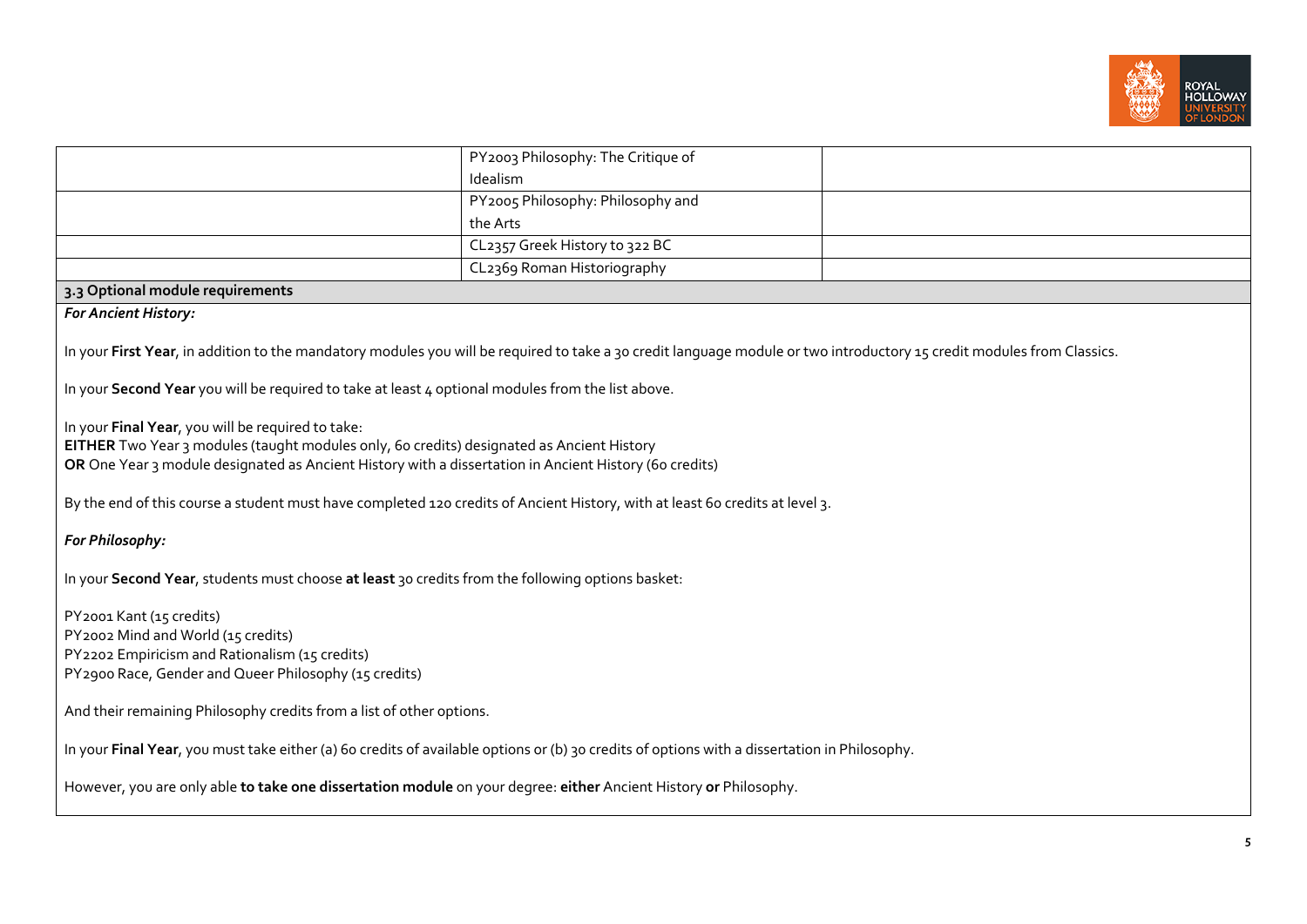

|                                                                                                                                                                                                                                                                             | PY2003 Philosophy: The Critique of |  |  |  |
|-----------------------------------------------------------------------------------------------------------------------------------------------------------------------------------------------------------------------------------------------------------------------------|------------------------------------|--|--|--|
|                                                                                                                                                                                                                                                                             | Idealism                           |  |  |  |
|                                                                                                                                                                                                                                                                             | PY2005 Philosophy: Philosophy and  |  |  |  |
|                                                                                                                                                                                                                                                                             | the Arts                           |  |  |  |
|                                                                                                                                                                                                                                                                             | CL2357 Greek History to 322 BC     |  |  |  |
|                                                                                                                                                                                                                                                                             | CL2369 Roman Historiography        |  |  |  |
| 3.3 Optional module requirements                                                                                                                                                                                                                                            |                                    |  |  |  |
| <b>For Ancient History:</b>                                                                                                                                                                                                                                                 |                                    |  |  |  |
| In your First Year, in addition to the mandatory modules you will be required to take a 30 credit language module or two introductory 15 credit modules from Classics.<br>In your Second Year you will be required to take at least 4 optional modules from the list above. |                                    |  |  |  |
| In your Final Year, you will be required to take:<br>EITHER Two Year 3 modules (taught modules only, 60 credits) designated as Ancient History<br>OR One Year 3 module designated as Ancient History with a dissertation in Ancient History (60 credits)                    |                                    |  |  |  |
| By the end of this course a student must have completed 120 credits of Ancient History, with at least 60 credits at level 3.                                                                                                                                                |                                    |  |  |  |
| For Philosophy:                                                                                                                                                                                                                                                             |                                    |  |  |  |
| In your Second Year, students must choose at least 30 credits from the following options basket:                                                                                                                                                                            |                                    |  |  |  |
| PY2001 Kant (15 credits)<br>PY2002 Mind and World (15 credits)<br>PY2202 Empiricism and Rationalism (15 credits)<br>PY2900 Race, Gender and Queer Philosophy (15 credits)                                                                                                   |                                    |  |  |  |
| And their remaining Philosophy credits from a list of other options.                                                                                                                                                                                                        |                                    |  |  |  |
| In your Final Year, you must take either (a) 60 credits of available options or (b) 30 credits of options with a dissertation in Philosophy.                                                                                                                                |                                    |  |  |  |
| However, you are only able to take one dissertation module on your degree: either Ancient History or Philosophy.                                                                                                                                                            |                                    |  |  |  |
|                                                                                                                                                                                                                                                                             |                                    |  |  |  |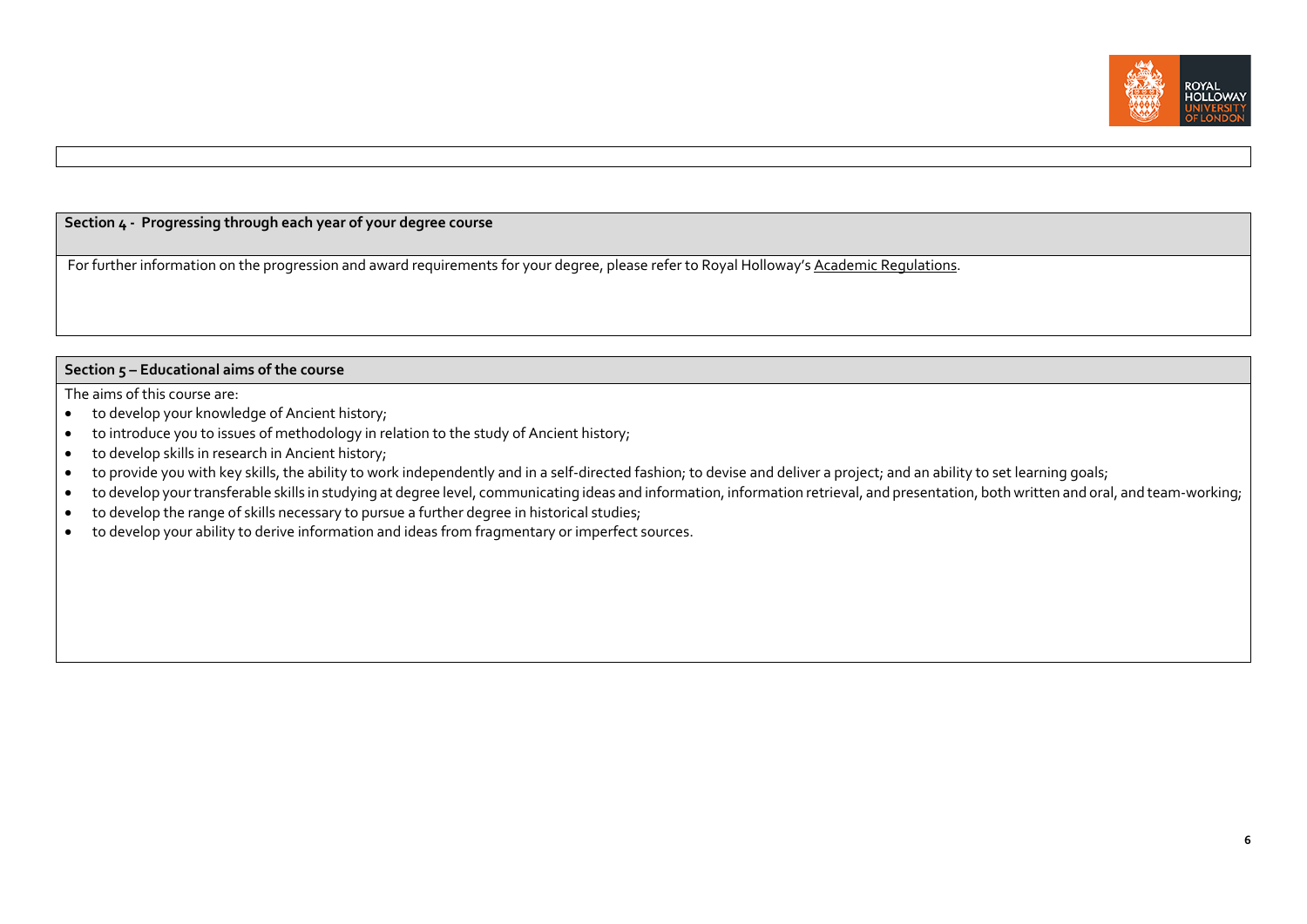

## **Section 4 - Progressing through each year of your degree course**

For further information on the progression and award requirements for your degree, please refer to Royal Holloway'[s Academic Regulations.](https://www.royalholloway.ac.uk/students/study/our-college-regulations/attendance-and-academic-regulations.aspx)

### **Section 5 – Educational aims of the course**

The aims of this course are:

- to develop your knowledge of Ancient history;
- to introduce you to issues of methodology in relation to the study of Ancient history;
- to develop skills in research in Ancient history;
- to provide you with key skills, the ability to work independently and in a self-directed fashion; to devise and deliver a project; and an ability to set learning goals;
- to develop your transferable skills in studying at degree level, communicating ideas and information, information retrieval, and presentation, both written and oral, and team-working;
- to develop the range of skills necessary to pursue a further degree in historical studies;
- to develop your ability to derive information and ideas from fragmentary or imperfect sources.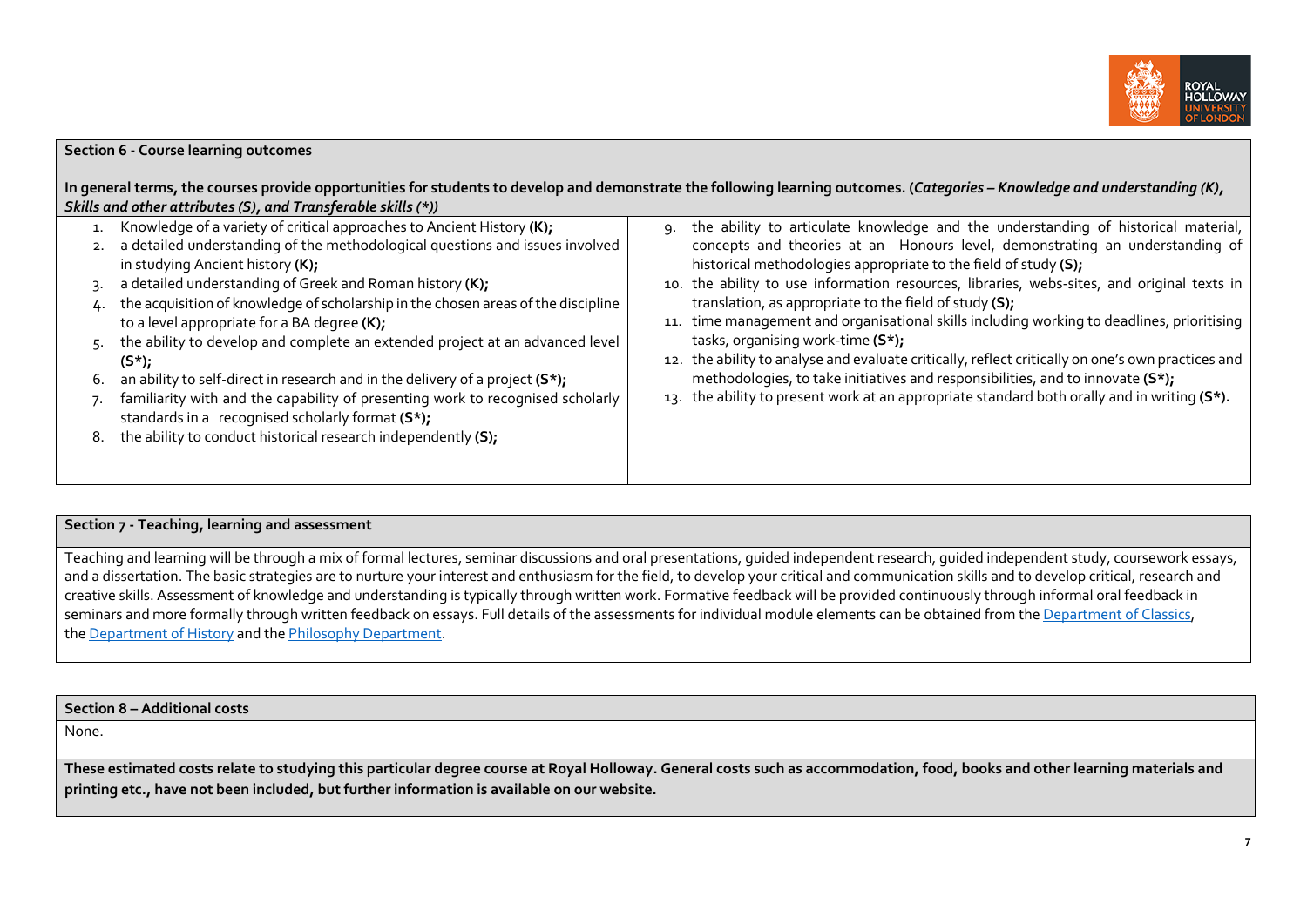

## **Section 6 - Course learning outcomes**

**In general terms, the courses provide opportunities for students to develop and demonstrate the following learning outcomes. (***Categories – Knowledge and understanding (K), Skills and other attributes (S), and Transferable skills (\*))*

|                      | Knowledge of a variety of critical approaches to Ancient History (K);<br>a detailed understanding of the methodological questions and issues involved<br>in studying Ancient history (K);                                                                                                                                                                                                                                                                                                                                | ۹. | the ability to articulate knowledge and the understanding of historical material,<br>concepts and theories at an Honours level, demonstrating an understanding of<br>historical methodologies appropriate to the field of study (S);                                                                                                                                                                                                                                            |
|----------------------|--------------------------------------------------------------------------------------------------------------------------------------------------------------------------------------------------------------------------------------------------------------------------------------------------------------------------------------------------------------------------------------------------------------------------------------------------------------------------------------------------------------------------|----|---------------------------------------------------------------------------------------------------------------------------------------------------------------------------------------------------------------------------------------------------------------------------------------------------------------------------------------------------------------------------------------------------------------------------------------------------------------------------------|
|                      | 3. a detailed understanding of Greek and Roman history (K);                                                                                                                                                                                                                                                                                                                                                                                                                                                              |    | 10. the ability to use information resources, libraries, webs-sites, and original texts in                                                                                                                                                                                                                                                                                                                                                                                      |
| 4.<br>5.<br>6.<br>8. | the acquisition of knowledge of scholarship in the chosen areas of the discipline<br>to a level appropriate for a BA degree (K);<br>the ability to develop and complete an extended project at an advanced level<br>$(S^*)$ ;<br>an ability to self-direct in research and in the delivery of a project $(S^*)$ ;<br>familiarity with and the capability of presenting work to recognised scholarly<br>standards in a recognised scholarly format (S*);<br>the ability to conduct historical research independently (S); |    | translation, as appropriate to the field of study (S);<br>11. time management and organisational skills including working to deadlines, prioritising<br>tasks, organising work-time (S*);<br>12. the ability to analyse and evaluate critically, reflect critically on one's own practices and<br>methodologies, to take initiatives and responsibilities, and to innovate (S*);<br>13. the ability to present work at an appropriate standard both orally and in writing (S*). |

#### **Section 7 - Teaching, learning and assessment**

Teaching and learning will be through a mix of formal lectures, seminar discussions and oral presentations, quided independent research, quided independent study, coursework essays, and a dissertation. The basic strategies are to nurture your interest and enthusiasm for the field, to develop your critical and communication skills and to develop critical, research and creative skills. Assessment of knowledge and understanding is typically through written work. Formative feedback will be provided continuously through informal oral feedback in seminars and more formally through written feedback on essays. Full details of the assessments for individual module elements can be obtained from th[e Department of Classics,](https://www.royalholloway.ac.uk/research-and-teaching/departments-and-schools/classics/)  th[e Department of History](https://www.royalholloway.ac.uk/research-and-teaching/departments-and-schools/history/) and the [Philosophy Department.](https://www.royalholloway.ac.uk/research-and-teaching/departments-and-schools/philosophy/)

#### **Section 8 – Additional costs**

None.

**These estimated costs relate to studying this particular degree course at Royal Holloway. General costs such as accommodation, food, books and other learning materials and printing etc., have not been included, but further information is available on our website.**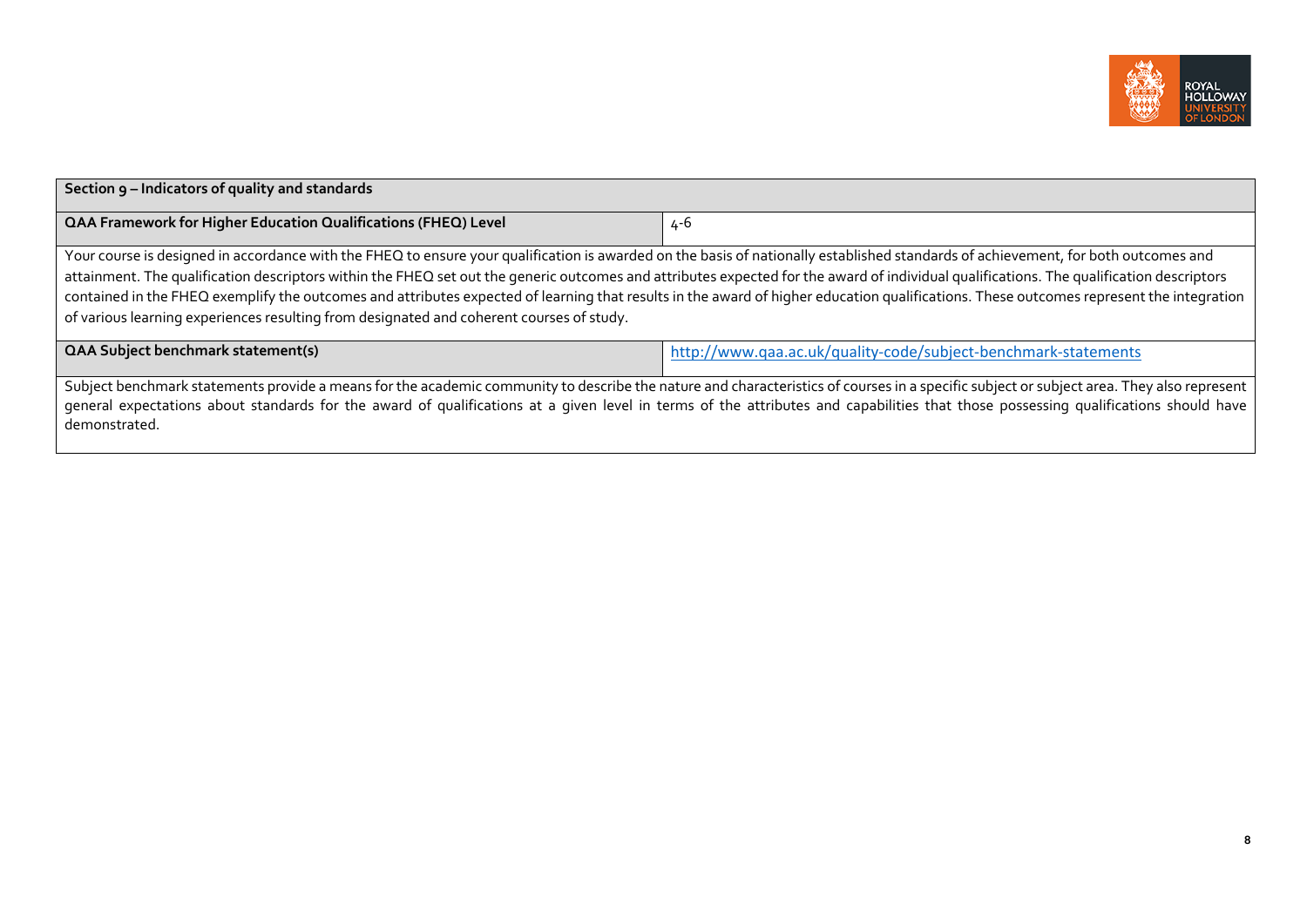

| Section 9 - Indicators of quality and standards                                                                                                                                                                                                                                                                                                                                                                                                                                                                                                                                                                                                                       |                                                                |  |  |
|-----------------------------------------------------------------------------------------------------------------------------------------------------------------------------------------------------------------------------------------------------------------------------------------------------------------------------------------------------------------------------------------------------------------------------------------------------------------------------------------------------------------------------------------------------------------------------------------------------------------------------------------------------------------------|----------------------------------------------------------------|--|--|
| <b>QAA Framework for Higher Education Qualifications (FHEQ) Level</b>                                                                                                                                                                                                                                                                                                                                                                                                                                                                                                                                                                                                 | $4 - 6$                                                        |  |  |
| Your course is designed in accordance with the FHEQ to ensure your qualification is awarded on the basis of nationally established standards of achievement, for both outcomes and<br>attainment. The qualification descriptors within the FHEQ set out the generic outcomes and attributes expected for the award of individual qualifications. The qualification descriptors<br>contained in the FHEQ exemplify the outcomes and attributes expected of learning that results in the award of higher education qualifications. These outcomes represent the integration<br>of various learning experiences resulting from designated and coherent courses of study. |                                                                |  |  |
| <b>QAA Subject benchmark statement(s)</b>                                                                                                                                                                                                                                                                                                                                                                                                                                                                                                                                                                                                                             | http://www.qaa.ac.uk/quality-code/subject-benchmark-statements |  |  |
| Subject benchmark statements provide a means for the academic community to describe the nature and characteristics of courses in a specific subject or subject area. They also represent<br>general expectations about standards for the award of qualifications at a given level in terms of the attributes and capabilities that those possessing qualifications should have<br>demonstrated.                                                                                                                                                                                                                                                                       |                                                                |  |  |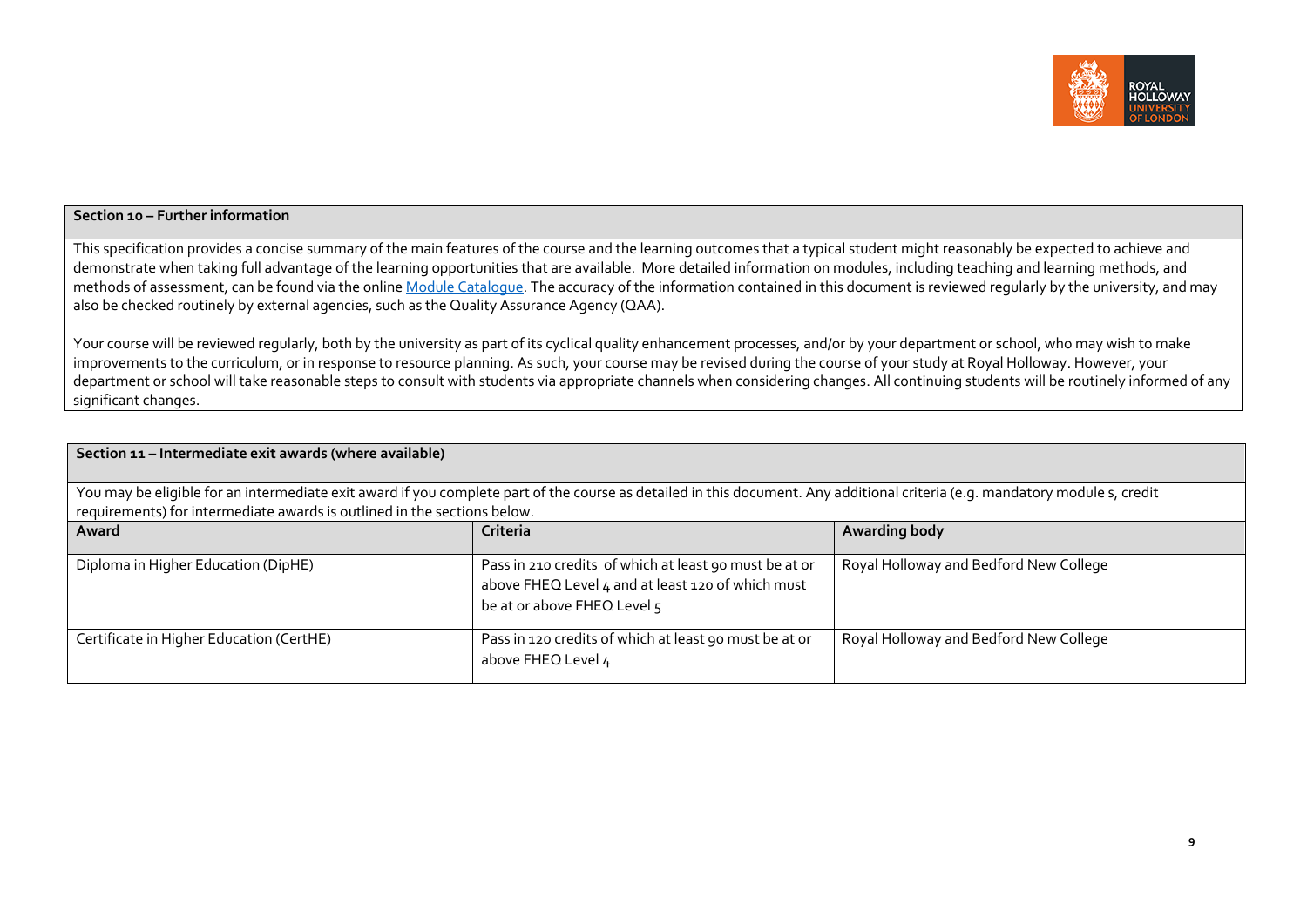

### **Section 10 – Further information**

This specification provides a concise summary of the main features of the course and the learning outcomes that a typical student might reasonably be expected to achieve and demonstrate when taking full advantage of the learning opportunities that are available. More detailed information on modules, including teaching and learning methods, and methods of assessment, can be found via the online Module [Catalogue.](https://ssb-prod.ec.royalholloway.ac.uk/PROD/bwckctlg.p_disp_dyn_ctlg) The accuracy of the information contained in this document is reviewed regularly by the university, and may also be checked routinely by external agencies, such as the Quality Assurance Agency (QAA).

Your course will be reviewed regularly, both by the university as part of its cyclical quality enhancement processes, and/or by your department or school, who may wish to make improvements to the curriculum, or in response to resource planning. As such, your course may be revised during the course of your study at Royal Holloway. However, your department or school will take reasonable steps to consult with students via appropriate channels when considering changes. All continuing students will be routinely informed of any significant changes.

| Section 11 - Intermediate exit awards (where available)                                                                                                                                                                                                  |                                                                                                                                            |                                        |  |  |  |  |
|----------------------------------------------------------------------------------------------------------------------------------------------------------------------------------------------------------------------------------------------------------|--------------------------------------------------------------------------------------------------------------------------------------------|----------------------------------------|--|--|--|--|
| You may be eligible for an intermediate exit award if you complete part of the course as detailed in this document. Any additional criteria (e.g. mandatory module s, credit<br>requirements) for intermediate awards is outlined in the sections below. |                                                                                                                                            |                                        |  |  |  |  |
| Award                                                                                                                                                                                                                                                    | Criteria                                                                                                                                   | <b>Awarding body</b>                   |  |  |  |  |
| Diploma in Higher Education (DipHE)                                                                                                                                                                                                                      | Pass in 210 credits of which at least 90 must be at or<br>above FHEQ Level 4 and at least 120 of which must<br>be at or above FHEQ Level 5 | Royal Holloway and Bedford New College |  |  |  |  |
| Certificate in Higher Education (CertHE)                                                                                                                                                                                                                 | Pass in 120 credits of which at least 90 must be at or<br>above FHEQ Level 4                                                               | Royal Holloway and Bedford New College |  |  |  |  |